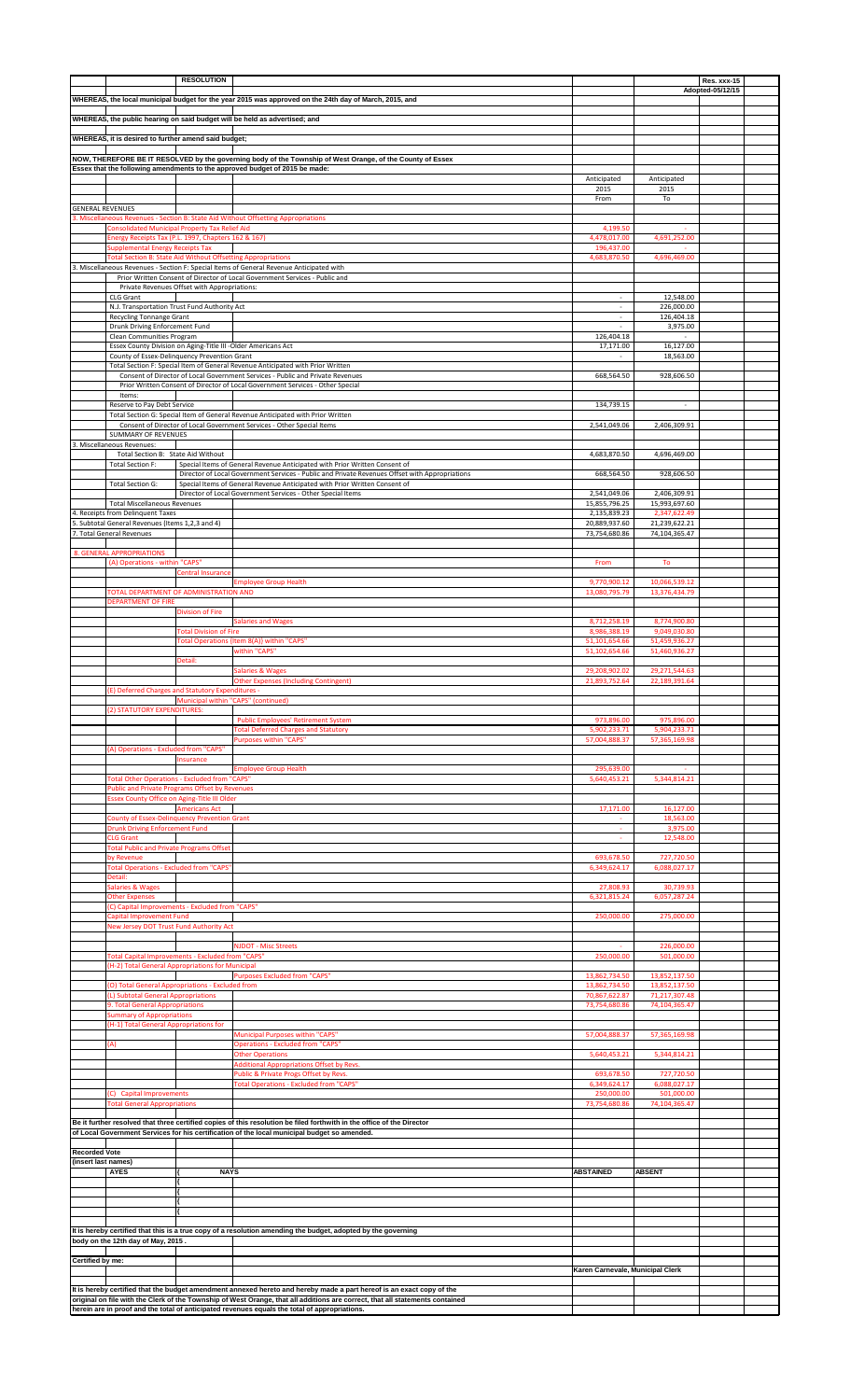|                         |                                                                                                               | <b>RESOLUTION</b>                   |                                                                                                                                                                                                                                                        |                                  |                                | Res. xxx-15      |  |
|-------------------------|---------------------------------------------------------------------------------------------------------------|-------------------------------------|--------------------------------------------------------------------------------------------------------------------------------------------------------------------------------------------------------------------------------------------------------|----------------------------------|--------------------------------|------------------|--|
|                         |                                                                                                               |                                     | WHEREAS, the local municipal budget for the year 2015 was approved on the 24th day of March, 2015, and                                                                                                                                                 |                                  |                                | Adopted-05/12/15 |  |
|                         |                                                                                                               |                                     |                                                                                                                                                                                                                                                        |                                  |                                |                  |  |
|                         |                                                                                                               |                                     | WHEREAS, the public hearing on said budget will be held as advertised; and                                                                                                                                                                             |                                  |                                |                  |  |
|                         | WHEREAS, it is desired to further amend said budget;                                                          |                                     |                                                                                                                                                                                                                                                        |                                  |                                |                  |  |
|                         |                                                                                                               |                                     | NOW, THEREFORE BE IT RESOLVED by the governing body of the Township of West Orange, of the County of Essex                                                                                                                                             |                                  |                                |                  |  |
|                         |                                                                                                               |                                     | Essex that the following amendments to the approved budget of 2015 be made:                                                                                                                                                                            |                                  |                                |                  |  |
|                         |                                                                                                               |                                     |                                                                                                                                                                                                                                                        | Anticipated<br>2015              | Anticipated<br>2015            |                  |  |
|                         |                                                                                                               |                                     |                                                                                                                                                                                                                                                        | From                             | To                             |                  |  |
| <b>GENERAL REVENUES</b> |                                                                                                               |                                     |                                                                                                                                                                                                                                                        |                                  |                                |                  |  |
|                         | Consolidated Municipal Property Tax Relief Aid                                                                |                                     | 3. Miscellaneous Revenues - Section B: State Aid Without Offsetting Appropriations                                                                                                                                                                     | 4.199.50                         |                                |                  |  |
|                         | Energy Receipts Tax (P.L. 1997, Chapters 162 & 167)                                                           |                                     |                                                                                                                                                                                                                                                        | 4,478,017.00                     | 4,691,252.00                   |                  |  |
|                         | <b>Supplemental Energy Receipts Tax</b><br>Total Section B: State Aid Without Offsetting Appropriations       |                                     |                                                                                                                                                                                                                                                        | 196,437.00<br>4,683,870.50       | 4,696,469.00                   |                  |  |
|                         |                                                                                                               |                                     | 3. Miscellaneous Revenues - Section F: Special Items of General Revenue Anticipated with                                                                                                                                                               |                                  |                                |                  |  |
|                         | Private Revenues Offset with Appropriations:                                                                  |                                     | Prior Written Consent of Director of Local Government Services - Public and                                                                                                                                                                            |                                  |                                |                  |  |
|                         | CLG Grant                                                                                                     |                                     |                                                                                                                                                                                                                                                        | $\sim$                           | 12,548.00                      |                  |  |
|                         | N.J. Transportation Trust Fund Authority Act                                                                  |                                     |                                                                                                                                                                                                                                                        | $\mathcal{L}_{\mathcal{A}}$      | 226,000.00                     |                  |  |
|                         | Recycling Tonnange Grant<br>Drunk Driving Enforcement Fund                                                    |                                     |                                                                                                                                                                                                                                                        | $\sim$<br>÷.                     | 126,404.18<br>3,975.00         |                  |  |
|                         | Clean Communities Program                                                                                     |                                     |                                                                                                                                                                                                                                                        | 126,404.18                       |                                |                  |  |
|                         | Essex County Division on Aging-Title III -Older Americans Act<br>County of Essex-Delinquency Prevention Grant |                                     |                                                                                                                                                                                                                                                        | 17,171.00                        | 16,127.00<br>18,563.00         |                  |  |
|                         |                                                                                                               |                                     | Total Section F: Special Item of General Revenue Anticipated with Prior Written                                                                                                                                                                        |                                  |                                |                  |  |
|                         |                                                                                                               |                                     | Consent of Director of Local Government Services - Public and Private Revenues<br>Prior Written Consent of Director of Local Government Services - Other Special                                                                                       | 668,564.50                       | 928,606.50                     |                  |  |
|                         | Items:                                                                                                        |                                     |                                                                                                                                                                                                                                                        |                                  |                                |                  |  |
|                         | Reserve to Pay Debt Service                                                                                   |                                     |                                                                                                                                                                                                                                                        | 134,739.15                       | $\sim$                         |                  |  |
|                         |                                                                                                               |                                     | Total Section G: Special Item of General Revenue Anticipated with Prior Written<br>Consent of Director of Local Government Services - Other Special Items                                                                                              | 2,541,049.06                     | 2,406,309.91                   |                  |  |
|                         | SUMMARY OF REVENUES                                                                                           |                                     |                                                                                                                                                                                                                                                        |                                  |                                |                  |  |
|                         | 3. Miscellaneous Revenues:<br>Total Section B: State Aid Without                                              |                                     |                                                                                                                                                                                                                                                        | 4,683,870.50                     | 4,696,469.00                   |                  |  |
|                         | Total Section F:                                                                                              |                                     | Special Items of General Revenue Anticipated with Prior Written Consent of                                                                                                                                                                             |                                  |                                |                  |  |
|                         | Total Section G:                                                                                              |                                     | Director of Local Government Services - Public and Private Revenues Offset with Appropriations<br>Special Items of General Revenue Anticipated with Prior Written Consent of                                                                           | 668,564.50                       | 928,606.50                     |                  |  |
|                         |                                                                                                               |                                     | Director of Local Government Services - Other Special Items                                                                                                                                                                                            | 2,541,049.06                     | 2,406,309.91                   |                  |  |
|                         | <b>Total Miscellaneous Revenues</b>                                                                           |                                     |                                                                                                                                                                                                                                                        | 15,855,796.25                    | 15,993,697.60                  |                  |  |
|                         | 4. Receipts from Delinquent Taxes<br>5. Subtotal General Revenues (Items 1,2,3 and 4)                         |                                     |                                                                                                                                                                                                                                                        | 2,135,839.23<br>20,889,937.60    | 2,347,622.49<br>21,239,622.21  |                  |  |
|                         | 7. Total General Revenues                                                                                     |                                     |                                                                                                                                                                                                                                                        | 73,754,680.86                    | 74,104,365.47                  |                  |  |
|                         | <b>8. GENERAL APPROPRIATIONS</b>                                                                              |                                     |                                                                                                                                                                                                                                                        |                                  |                                |                  |  |
|                         | (A) Operations - within "CAPS"                                                                                |                                     |                                                                                                                                                                                                                                                        | From                             | To                             |                  |  |
|                         |                                                                                                               | entral Insurance                    | <b>Employee Group Health</b>                                                                                                                                                                                                                           | 9,770,900.12                     | 10,066,539.12                  |                  |  |
|                         | TOTAL DEPARTMENT OF ADMINISTRATION AND                                                                        |                                     |                                                                                                                                                                                                                                                        | 13,080,795.79                    | 13,376,434.79                  |                  |  |
|                         | <b>DEPARTMENT OF FIRE</b>                                                                                     | <b>Division of Fire</b>             |                                                                                                                                                                                                                                                        |                                  |                                |                  |  |
|                         |                                                                                                               |                                     | <b>Salaries and Wages</b>                                                                                                                                                                                                                              | 8,712,258.19                     | 8,774,900.80                   |                  |  |
|                         |                                                                                                               | <b>Total Division of Fire</b>       |                                                                                                                                                                                                                                                        | 8,986,388.19                     | 9,049,030.80                   |                  |  |
|                         |                                                                                                               |                                     | Total Operations {Item 8(A)} within "CAPS"<br>within "CAPS"                                                                                                                                                                                            | 51,101,654.66<br>51,102,654.66   | 51,459,936.27<br>51,460,936.27 |                  |  |
|                         |                                                                                                               | Detail:                             |                                                                                                                                                                                                                                                        |                                  |                                |                  |  |
|                         |                                                                                                               |                                     | Salaries & Wages<br><b>Other Expenses (Including Contingent)</b>                                                                                                                                                                                       | 29,208,902.02<br>21,893,752.64   | 29,271,544.63<br>22,189,391.64 |                  |  |
|                         | (E) Deferred Charges and Statutory Expenditures -                                                             |                                     |                                                                                                                                                                                                                                                        |                                  |                                |                  |  |
|                         | (2) STATUTORY EXPENDITURES:                                                                                   | Municipal within "CAPS" (continued) |                                                                                                                                                                                                                                                        |                                  |                                |                  |  |
|                         |                                                                                                               |                                     | Public Employees' Retirement System                                                                                                                                                                                                                    | 973,896.00                       | 975,896.00                     |                  |  |
|                         |                                                                                                               |                                     | <b>Total Deferred Charges and Statutory</b>                                                                                                                                                                                                            |                                  |                                |                  |  |
|                         |                                                                                                               |                                     |                                                                                                                                                                                                                                                        | 5,902,233.71                     | 5,904,233.71                   |                  |  |
|                         |                                                                                                               |                                     | <b>Purposes within "CAPS"</b>                                                                                                                                                                                                                          | 57,004,888.37                    | 57,365,169.98                  |                  |  |
|                         | (A) Operations - Excluded from "CAPS"                                                                         | Insurance                           |                                                                                                                                                                                                                                                        |                                  |                                |                  |  |
|                         |                                                                                                               |                                     | <b>Employee Group Health</b>                                                                                                                                                                                                                           | 295,639.00                       |                                |                  |  |
|                         | Total Other Operations - Excluded from "CAPS"<br>Public and Private Programs Offset by Revenues               |                                     |                                                                                                                                                                                                                                                        | 5,640,453.21                     | 5,344,814.21                   |                  |  |
|                         | <b>Essex County Office on Aging-Title III Older</b>                                                           |                                     |                                                                                                                                                                                                                                                        |                                  |                                |                  |  |
|                         | County of Essex-Delinquency Prevention Grant                                                                  | <b>Americans Act</b>                |                                                                                                                                                                                                                                                        | 17,171.00                        | 16,127.00<br>18,563.00         |                  |  |
|                         | <b>Drunk Driving Enforcement Fund</b>                                                                         |                                     |                                                                                                                                                                                                                                                        | $\omega$                         | 3,975.00                       |                  |  |
|                         | <b>CLG Grant</b><br><b>Total Public and Private Programs Offset</b>                                           |                                     |                                                                                                                                                                                                                                                        | $\overline{\phantom{a}}$         | 12,548.00                      |                  |  |
|                         | by Revenue                                                                                                    |                                     |                                                                                                                                                                                                                                                        | 693,678.50                       | 727,720.50                     |                  |  |
|                         | Total Operations - Excluded from "CAPS'<br>Detail:                                                            |                                     |                                                                                                                                                                                                                                                        | 6,349,624.17                     | 6,088,027.17                   |                  |  |
|                         | <b>Salaries &amp; Wages</b>                                                                                   |                                     |                                                                                                                                                                                                                                                        | 27,808.93                        | 30,739.93                      |                  |  |
|                         | <b>Other Expenses</b><br>C) Capital Improvements - Excluded from "CAPS'                                       |                                     |                                                                                                                                                                                                                                                        | 6,321,815.24                     | 6,057,287.24                   |                  |  |
|                         | Capital Improvement Fund                                                                                      |                                     |                                                                                                                                                                                                                                                        | 250,000.00                       | 275,000.00                     |                  |  |
|                         | New Jersey DOT Trust Fund Authority Act                                                                       |                                     |                                                                                                                                                                                                                                                        |                                  |                                |                  |  |
|                         |                                                                                                               |                                     | <b>NJDOT - Misc Streets</b>                                                                                                                                                                                                                            |                                  | 226,000.00                     |                  |  |
|                         | Total Capital Improvements - Excluded from "CAPS"<br>(H-2) Total General Appropriations for Municipal         |                                     |                                                                                                                                                                                                                                                        | 250,000.00                       | 501,000.00                     |                  |  |
|                         |                                                                                                               |                                     | <b>Purposes Excluded from "CAPS"</b>                                                                                                                                                                                                                   | 13,862,734.50                    | 13,852,137.50                  |                  |  |
|                         | (O) Total General Appropriations - Excluded from<br>(L) Subtotal General Appropriations                       |                                     |                                                                                                                                                                                                                                                        | 13,862,734.50<br>70,867,622.87   | 13,852,137.50<br>71,217,307.48 |                  |  |
|                         | 9. Total General Appropriations                                                                               |                                     |                                                                                                                                                                                                                                                        | 73,754,680.86                    | 74,104,365.47                  |                  |  |
|                         | <b>Summary of Appropriations</b><br>(H-1) Total General Appropriations for                                    |                                     |                                                                                                                                                                                                                                                        |                                  |                                |                  |  |
|                         |                                                                                                               |                                     | Municipal Purposes within "CAPS"                                                                                                                                                                                                                       | 57,004,888.37                    | 57,365,169.98                  |                  |  |
|                         | (A)                                                                                                           |                                     | <b>Operations - Excluded from "CAPS"</b><br><b>Other Operations</b>                                                                                                                                                                                    | 5,640,453.21                     | 5,344,814.21                   |                  |  |
|                         |                                                                                                               |                                     | <b>Additional Appropriations Offset by Revs.</b>                                                                                                                                                                                                       |                                  |                                |                  |  |
|                         |                                                                                                               |                                     | Public & Private Progs Offset by Revs.<br><b>Total Operations - Excluded from "CAPS"</b>                                                                                                                                                               | 693,678.50<br>6,349,624.17       | 727,720.50<br>6,088,027.17     |                  |  |
|                         | (C) Capital Improvements                                                                                      |                                     |                                                                                                                                                                                                                                                        | 250,000.00                       | 501,000.00                     |                  |  |
|                         | <b>Total General Appropriations</b>                                                                           |                                     |                                                                                                                                                                                                                                                        | 73,754,680.86                    | 74,104,365.47                  |                  |  |
|                         |                                                                                                               |                                     | Be it further resolved that three certified copies of this resolution be filed forthwith in the office of the Director                                                                                                                                 |                                  |                                |                  |  |
|                         |                                                                                                               |                                     | of Local Government Services for his certification of the local municipal budget so amended.                                                                                                                                                           |                                  |                                |                  |  |
| Recorded Vote           |                                                                                                               |                                     |                                                                                                                                                                                                                                                        |                                  |                                |                  |  |
| (insert last names)     |                                                                                                               |                                     |                                                                                                                                                                                                                                                        |                                  |                                |                  |  |
|                         | <b>AYES</b>                                                                                                   | <b>NAYS</b>                         |                                                                                                                                                                                                                                                        | <b>ABSTAINED</b>                 | <b>ABSENT</b>                  |                  |  |
|                         |                                                                                                               |                                     |                                                                                                                                                                                                                                                        |                                  |                                |                  |  |
|                         |                                                                                                               |                                     |                                                                                                                                                                                                                                                        |                                  |                                |                  |  |
|                         |                                                                                                               |                                     |                                                                                                                                                                                                                                                        |                                  |                                |                  |  |
|                         |                                                                                                               |                                     | It is hereby certified that this is a true copy of a resolution amending the budget, adopted by the governing                                                                                                                                          |                                  |                                |                  |  |
|                         | body on the 12th day of May, 2015.                                                                            |                                     |                                                                                                                                                                                                                                                        |                                  |                                |                  |  |
| Certified by me:        |                                                                                                               |                                     |                                                                                                                                                                                                                                                        |                                  |                                |                  |  |
|                         |                                                                                                               |                                     |                                                                                                                                                                                                                                                        | Karen Carnevale, Municipal Clerk |                                |                  |  |
|                         |                                                                                                               |                                     | It is hereby certified that the budget amendment annexed hereto and hereby made a part hereof is an exact copy of the<br>original on file with the Clerk of the Township of West Orange, that all additions are correct, that all statements contained |                                  |                                |                  |  |